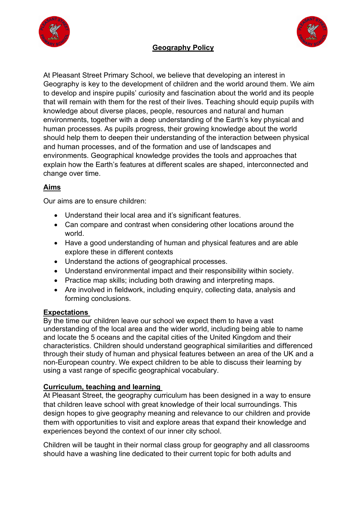



# **Geography Policy**

At Pleasant Street Primary School, we believe that developing an interest in Geography is key to the development of children and the world around them. We aim to develop and inspire pupils' curiosity and fascination about the world and its people that will remain with them for the rest of their lives. Teaching should equip pupils with knowledge about diverse places, people, resources and natural and human environments, together with a deep understanding of the Earth's key physical and human processes. As pupils progress, their growing knowledge about the world should help them to deepen their understanding of the interaction between physical and human processes, and of the formation and use of landscapes and environments. Geographical knowledge provides the tools and approaches that explain how the Earth's features at different scales are shaped, interconnected and change over time.

## **Aims**

Our aims are to ensure children:

- Understand their local area and it's significant features.
- Can compare and contrast when considering other locations around the world.
- Have a good understanding of human and physical features and are able explore these in different contexts
- Understand the actions of geographical processes.
- Understand environmental impact and their responsibility within society.
- Practice map skills; including both drawing and interpreting maps.
- Are involved in fieldwork, including enquiry, collecting data, analysis and forming conclusions.

## **Expectations**

By the time our children leave our school we expect them to have a vast understanding of the local area and the wider world, including being able to name and locate the 5 oceans and the capital cities of the United Kingdom and their characteristics. Children should understand geographical similarities and differenced through their study of human and physical features between an area of the UK and a non-European country. We expect children to be able to discuss their learning by using a vast range of specific geographical vocabulary.

## **Curriculum, teaching and learning**

At Pleasant Street, the geography curriculum has been designed in a way to ensure that children leave school with great knowledge of their local surroundings. This design hopes to give geography meaning and relevance to our children and provide them with opportunities to visit and explore areas that expand their knowledge and experiences beyond the context of our inner city school.

Children will be taught in their normal class group for geography and all classrooms should have a washing line dedicated to their current topic for both adults and